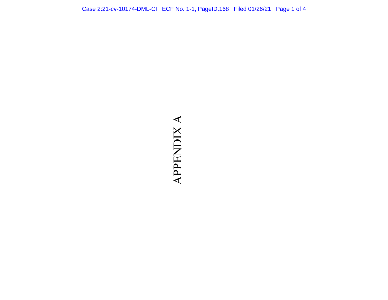## **APPENDIX A** APPENDIX A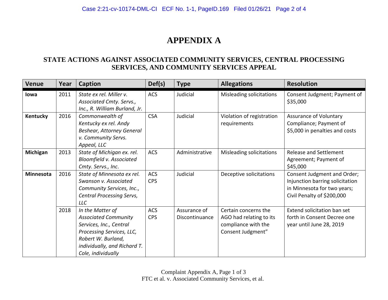## **APPENDIX A**

## **STATE ACTIONS AGAINST ASSOCIATED COMMUNITY SERVICES, CENTRAL PROCESSING SERVICES, AND COMMUNITY SERVICES APPEAL**

| <b>Venue</b>     | Year | <b>Caption</b>                                                                                                                                                                      | Def(s)                   | <b>Type</b>                    | <b>Allegations</b>                                                                          | <b>Resolution</b>                                                                                                           |
|------------------|------|-------------------------------------------------------------------------------------------------------------------------------------------------------------------------------------|--------------------------|--------------------------------|---------------------------------------------------------------------------------------------|-----------------------------------------------------------------------------------------------------------------------------|
| lowa             | 2011 | State ex rel. Miller v.<br>Associated Cmty. Servs.,<br>Inc., R. William Burland, Jr.                                                                                                | <b>ACS</b>               | Judicial                       | Misleading solicitations                                                                    | Consent Judgment; Payment of<br>\$35,000                                                                                    |
| Kentucky         | 2016 | Commonwealth of<br>Kentucky ex rel. Andy<br><b>Beshear, Attorney General</b><br>v. Community Servs.<br>Appeal, LLC                                                                  | <b>CSA</b>               | Judicial                       | Violation of registration<br>requirements                                                   | Assurance of Voluntary<br>Compliance; Payment of<br>\$5,000 in penalties and costs                                          |
| Michigan         | 2013 | State of Michigan ex. rel.<br>Bloomfield v. Associated<br>Cmty. Servs., Inc.                                                                                                        | <b>ACS</b>               | Administrative                 | Misleading solicitations                                                                    | <b>Release and Settlement</b><br>Agreement; Payment of<br>\$45,000                                                          |
| <b>Minnesota</b> | 2016 | State of Minnesota ex rel.<br>Swanson v. Associated<br>Community Services, Inc.,<br><b>Central Processing Servs,</b><br><b>LLC</b>                                                  | ACS<br><b>CPS</b>        | Judicial                       | Deceptive solicitations                                                                     | Consent Judgment and Order;<br>Injunction barring solicitation<br>in Minnesota for two years;<br>Civil Penalty of \$200,000 |
|                  | 2018 | In the Matter of<br><b>Associated Community</b><br>Services, Inc., Central<br>Processing Services, LLC,<br>Robert W. Burland,<br>individually, and Richard T.<br>Cole, individually | <b>ACS</b><br><b>CPS</b> | Assurance of<br>Discontinuance | Certain concerns the<br>AGO had relating to its<br>compliance with the<br>Consent Judgment" | Extend solicitation ban set<br>forth in Consent Decree one<br>year until June 28, 2019                                      |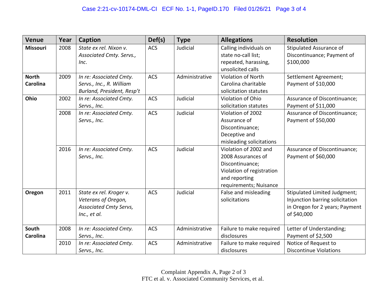| <b>Venue</b>                    | Year | Caption                                                                                         | Def(s)     | <b>Type</b>    | <b>Allegations</b>                                                                                                                     | <b>Resolution</b>                                                                                                |
|---------------------------------|------|-------------------------------------------------------------------------------------------------|------------|----------------|----------------------------------------------------------------------------------------------------------------------------------------|------------------------------------------------------------------------------------------------------------------|
| <b>Missouri</b>                 | 2008 | State ex rel. Nixon v.<br>Associated Cmty. Servs.,<br>Inc.                                      | <b>ACS</b> | Judicial       | Calling individuals on<br>state no-call list;<br>repeated, harassing,<br>unsolicited calls                                             | Stipulated Assurance of<br>Discontinuance; Payment of<br>\$100,000                                               |
| <b>North</b><br><b>Carolina</b> | 2009 | In re: Associated Cmty.<br>Servs., Inc., R. William<br>Burland, President, Resp't               | <b>ACS</b> | Administrative | <b>Violation of North</b><br>Carolina charitable<br>solicitation statutes                                                              | Settlement Agreement;<br>Payment of \$10,000                                                                     |
| Ohio                            | 2002 | In re: Associated Cmty.<br>Servs., Inc.                                                         | <b>ACS</b> | Judicial       | Violation of Ohio<br>solicitation statutes                                                                                             | Assurance of Discontinuance;<br>Payment of \$11,000                                                              |
|                                 | 2008 | In re: Associated Cmty.<br>Servs., Inc.                                                         | <b>ACS</b> | Judicial       | Violation of 2002<br>Assurance of<br>Discontinuance;<br>Deceptive and<br>misleading solicitations                                      | Assurance of Discontinuance;<br>Payment of \$50,000                                                              |
|                                 | 2016 | In re: Associated Cmty.<br>Servs., Inc.                                                         | <b>ACS</b> | Judicial       | Violation of 2002 and<br>2008 Assurances of<br>Discontinuance;<br>Violation of registration<br>and reporting<br>requirements; Nuisance | Assurance of Discontinuance;<br>Payment of \$60,000                                                              |
| Oregon                          | 2011 | State ex rel. Kroger v.<br>Veterans of Oregon,<br><b>Associated Cmty Servs,</b><br>Inc., et al. | <b>ACS</b> | Judicial       | False and misleading<br>solicitations                                                                                                  | Stipulated Limited Judgment;<br>Injunction barring solicitation<br>in Oregon for 2 years; Payment<br>of \$40,000 |
| South<br><b>Carolina</b>        | 2008 | In re: Associated Cmty.<br>Servs., Inc.                                                         | <b>ACS</b> | Administrative | Failure to make required<br>disclosures                                                                                                | Letter of Understanding;<br>Payment of \$2,500                                                                   |
|                                 | 2010 | In re: Associated Cmty.<br>Servs., Inc.                                                         | <b>ACS</b> | Administrative | Failure to make required<br>disclosures                                                                                                | Notice of Request to<br><b>Discontinue Violations</b>                                                            |